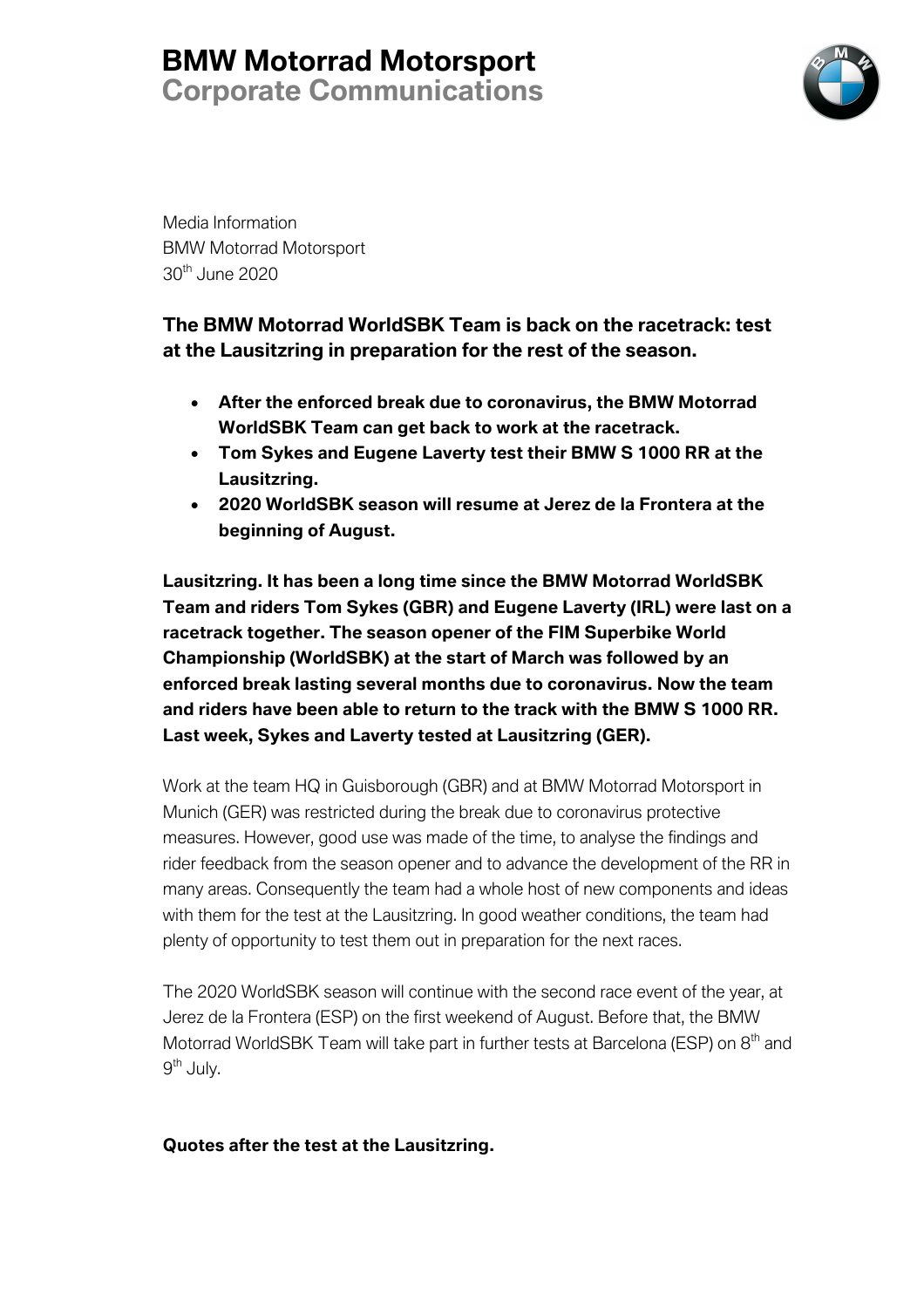## **BMW Motorrad Motorsport Corporate Communications**



Media Information BMW Motorrad Motorsport 30th June 2020

### **The BMW Motorrad WorldSBK Team is back on the racetrack: test at the Lausitzring in preparation for the rest of the season.**

- **After the enforced break due to coronavirus, the BMW Motorrad WorldSBK Team can get back to work at the racetrack.**
- **Tom Sykes and Eugene Laverty test their BMW S 1000 RR at the Lausitzring.**
- **2020 WorldSBK season will resume at Jerez de la Frontera at the beginning of August.**

**Lausitzring. It has been a long time since the BMW Motorrad WorldSBK Team and riders Tom Sykes (GBR) and Eugene Laverty (IRL) were last on a racetrack together. The season opener of the FIM Superbike World Championship (WorldSBK) at the start of March was followed by an enforced break lasting several months due to coronavirus. Now the team and riders have been able to return to the track with the BMW S 1000 RR. Last week, Sykes and Laverty tested at Lausitzring (GER).**

Work at the team HQ in Guisborough (GBR) and at BMW Motorrad Motorsport in Munich (GER) was restricted during the break due to coronavirus protective measures. However, good use was made of the time, to analyse the findings and rider feedback from the season opener and to advance the development of the RR in many areas. Consequently the team had a whole host of new components and ideas with them for the test at the Lausitzring. In good weather conditions, the team had plenty of opportunity to test them out in preparation for the next races.

The 2020 WorldSBK season will continue with the second race event of the year, at Jerez de la Frontera (ESP) on the first weekend of August. Before that, the BMW Motorrad WorldSBK Team will take part in further tests at Barcelona (ESP) on 8<sup>th</sup> and  $9<sup>th</sup>$  July.

### **Quotes after the test at the Lausitzring.**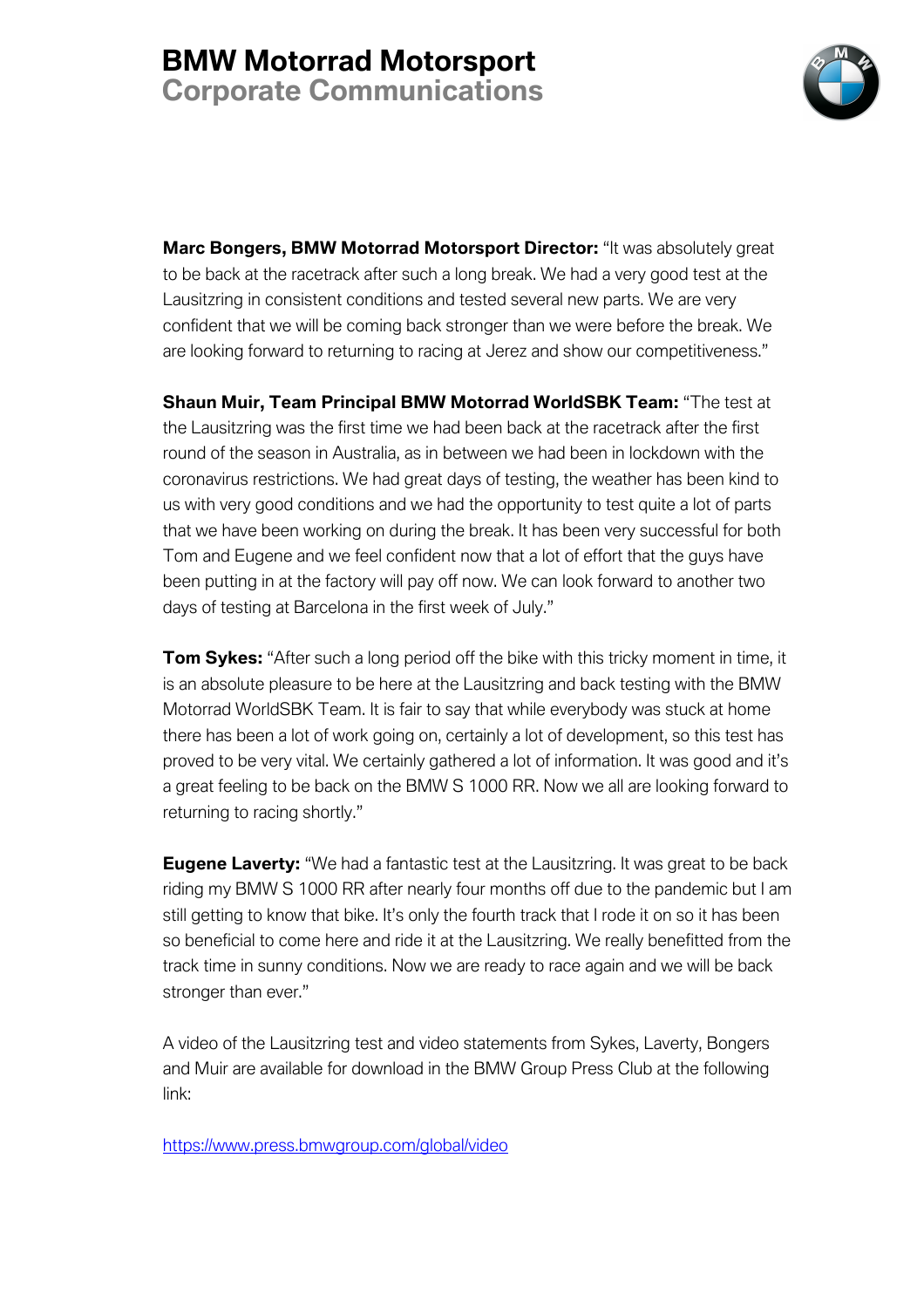

**Marc Bongers, BMW Motorrad Motorsport Director:** "It was absolutely great to be back at the racetrack after such a long break. We had a very good test at the Lausitzring in consistent conditions and tested several new parts. We are very confident that we will be coming back stronger than we were before the break. We are looking forward to returning to racing at Jerez and show our competitiveness."

**Shaun Muir, Team Principal BMW Motorrad WorldSBK Team:** "The test at the Lausitzring was the first time we had been back at the racetrack after the first round of the season in Australia, as in between we had been in lockdown with the coronavirus restrictions. We had great days of testing, the weather has been kind to us with very good conditions and we had the opportunity to test quite a lot of parts that we have been working on during the break. It has been very successful for both Tom and Eugene and we feel confident now that a lot of effort that the guys have been putting in at the factory will pay off now. We can look forward to another two days of testing at Barcelona in the first week of July."

**Tom Sykes:** "After such a long period off the bike with this tricky moment in time, it is an absolute pleasure to be here at the Lausitzring and back testing with the BMW Motorrad WorldSBK Team. It is fair to say that while everybody was stuck at home there has been a lot of work going on, certainly a lot of development, so this test has proved to be very vital. We certainly gathered a lot of information. It was good and it's a great feeling to be back on the BMW S 1000 RR. Now we all are looking forward to returning to racing shortly."

**Eugene Laverty:** "We had a fantastic test at the Lausitzring. It was great to be back riding my BMW S 1000 RR after nearly four months off due to the pandemic but I am still getting to know that bike. It's only the fourth track that I rode it on so it has been so beneficial to come here and ride it at the Lausitzring. We really benefitted from the track time in sunny conditions. Now we are ready to race again and we will be back stronger than ever."

A video of the Lausitzring test and video statements from Sykes, Laverty, Bongers and Muir are available for download in the BMW Group Press Club at the following link:

https://www.press.bmwgroup.com/global/video